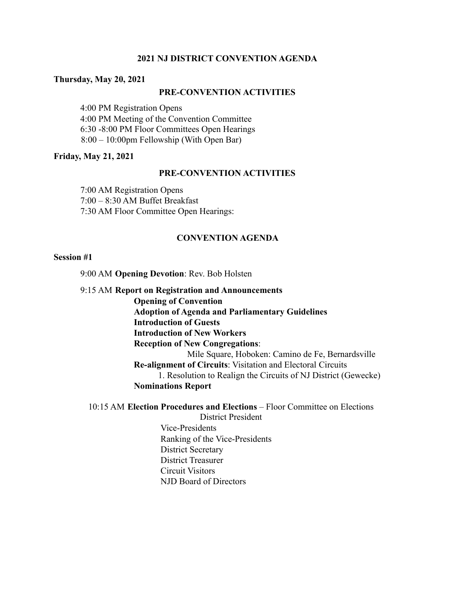# **2021 NJ DISTRICT CONVENTION AGENDA**

#### **Thursday, May 20, 2021**

### **PRE-CONVENTION ACTIVITIES**

4:00 PM Registration Opens 4:00 PM Meeting of the Convention Committee 6:30 -8:00 PM Floor Committees Open Hearings 8:00 – 10:00pm Fellowship (With Open Bar)

### **Friday, May 21, 2021**

### **PRE-CONVENTION ACTIVITIES**

7:00 AM Registration Opens 7:00 – 8:30 AM Buffet Breakfast 7:30 AM Floor Committee Open Hearings:

# **CONVENTION AGENDA**

#### **Session #1**

9:00 AM **Opening Devotion**: Rev. Bob Holsten

9:15 AM **Report on Registration and Announcements Opening of Convention Adoption of Agenda and Parliamentary Guidelines Introduction of Guests Introduction of New Workers Reception of New Congregations**: Mile Square, Hoboken: Camino de Fe, Bernardsville **Re-alignment of Circuits**: Visitation and Electoral Circuits 1. Resolution to Realign the Circuits of NJ District (Gewecke) **Nominations Report**

10:15 AM **Election Procedures and Elections** – Floor Committee on Elections District President Vice-Presidents Ranking of the Vice-Presidents District Secretary District Treasurer

Circuit Visitors

NJD Board of Directors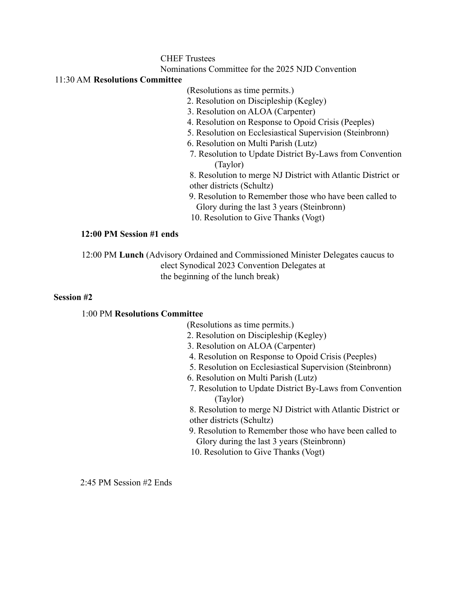# CHEF Trustees

Nominations Committee for the 2025 NJD Convention

# 11:30 AM **Resolutions Committee**

(Resolutions as time permits.)

- 2. Resolution on Discipleship (Kegley)
- 3. Resolution on ALOA (Carpenter)
- 4. Resolution on Response to Opoid Crisis (Peeples)
- 5. Resolution on Ecclesiastical Supervision (Steinbronn)
- 6. Resolution on Multi Parish (Lutz)
- 7. Resolution to Update District By-Laws from Convention (Taylor)

8. Resolution to merge NJ District with Atlantic District or other districts (Schultz)

- 9. Resolution to Remember those who have been called to Glory during the last 3 years (Steinbronn)
- 10. Resolution to Give Thanks (Vogt)

# **12:00 PM Session #1 ends**

12:00 PM **Lunch** (Advisory Ordained and Commissioned Minister Delegates caucus to elect Synodical 2023 Convention Delegates at the beginning of the lunch break)

#### **Session #2**

# 1:00 PM **Resolutions Committee**

(Resolutions as time permits.)

- 2. Resolution on Discipleship (Kegley)
- 3. Resolution on ALOA (Carpenter)
- 4. Resolution on Response to Opoid Crisis (Peeples)
- 5. Resolution on Ecclesiastical Supervision (Steinbronn)
- 6. Resolution on Multi Parish (Lutz)
- 7. Resolution to Update District By-Laws from Convention (Taylor)

8. Resolution to merge NJ District with Atlantic District or other districts (Schultz)

- 9. Resolution to Remember those who have been called to Glory during the last 3 years (Steinbronn)
- 10. Resolution to Give Thanks (Vogt)

2:45 PM Session #2 Ends